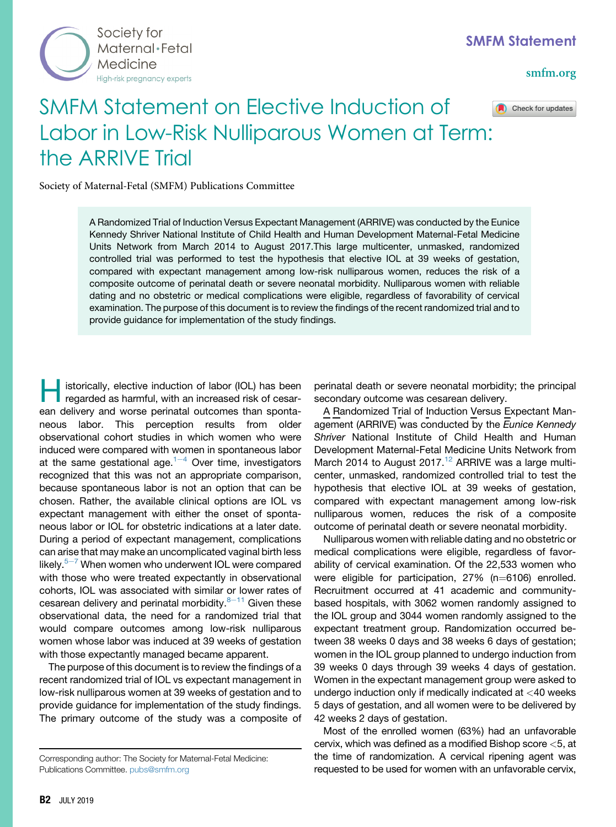

## [smfm.org](www.smfm.org)

Check for updates

## SMFM Statement on Elective Induction of Labor in Low-Risk Nulliparous Women at Term: the ARRIVE Trial

Society of Maternal-Fetal (SMFM) Publications Committee

A Randomized Trial of Induction Versus Expectant Management (ARRIVE) was conducted by the Eunice Kennedy Shriver National Institute of Child Health and Human Development Maternal-Fetal Medicine Units Network from March 2014 to August 2017.This large multicenter, unmasked, randomized controlled trial was performed to test the hypothesis that elective IOL at 39 weeks of gestation, compared with expectant management among low-risk nulliparous women, reduces the risk of a composite outcome of perinatal death or severe neonatal morbidity. Nulliparous women with reliable dating and no obstetric or medical complications were eligible, regardless of favorability of cervical examination. The purpose of this document is to review the findings of the recent randomized trial and to provide guidance for implementation of the study findings.

Historically, elective induction of labor (IOL) has been regarded as harmful, with an increased risk of cesarean delivery and worse perinatal outcomes than spontaneous labor. This perception results from older observational cohort studies in which women who were induced were compared with women in spontaneous labor at th[e](#page-2-0) same gestational age. $1-4$  Over time, investigators recognized that this was not an appropriate comparison, because spontaneous labor is not an option that can be chosen. Rather, the available clinical options are IOL vs expectant management with either the onset of spontaneous labor or IOL for obstetric indications at a later date. During a period of expectant management, complications can arise that may make an uncomplicated vaginal birth less lik[e](#page-2-0)ly. $5-7$  When women who underwent IOL were compared with those who were treated expectantly in observational cohorts, IOL was associated with similar or lower rates of cesarean delivery and perinatal morbidity. $8-11$  $8-11$  Given these observational data, the need for a randomized trial that would compare outcomes among low-risk nulliparous women whose labor was induced at 39 weeks of gestation with those expectantly managed became apparent.

The purpose of this document is to review the findings of a recent randomized trial of IOL vs expectant management in low-risk nulliparous women at 39 weeks of gestation and to provide guidance for implementation of the study findings. The primary outcome of the study was a composite of perinatal death or severe neonatal morbidity; the principal secondary outcome was cesarean delivery.

A Randomized Trial of Induction Versus Expectant Management (ARRIVE) was conducted by the Eunice Kennedy Shriver National Institute of Child Health and Human Development Maternal-Fetal Medicine Units Network from March 2014 to August 2017.<sup>[12](#page-2-0)</sup> ARRIVE was a large multicenter, unmasked, randomized controlled trial to test the hypothesis that elective IOL at 39 weeks of gestation, compared with expectant management among low-risk nulliparous women, reduces the risk of a composite outcome of perinatal death or severe neonatal morbidity.

Nulliparous women with reliable dating and no obstetric or medical complications were eligible, regardless of favorability of cervical examination. Of the 22,533 women who were eligible for participation,  $27\%$  (n=6106) enrolled. Recruitment occurred at 41 academic and communitybased hospitals, with 3062 women randomly assigned to the IOL group and 3044 women randomly assigned to the expectant treatment group. Randomization occurred between 38 weeks 0 days and 38 weeks 6 days of gestation; women in the IOL group planned to undergo induction from 39 weeks 0 days through 39 weeks 4 days of gestation. Women in the expectant management group were asked to undergo induction only if medically indicated at <40 weeks 5 days of gestation, and all women were to be delivered by 42 weeks 2 days of gestation.

Most of the enrolled women (63%) had an unfavorable cervix, which was defined as a modified Bishop score <5, at the time of randomization. A cervical ripening agent was requested to be used for women with an unfavorable cervix,

Corresponding author: The Society for Maternal-Fetal Medicine: Publications Committee. [pubs@smfm.org](mailto:pubs@smfm.org)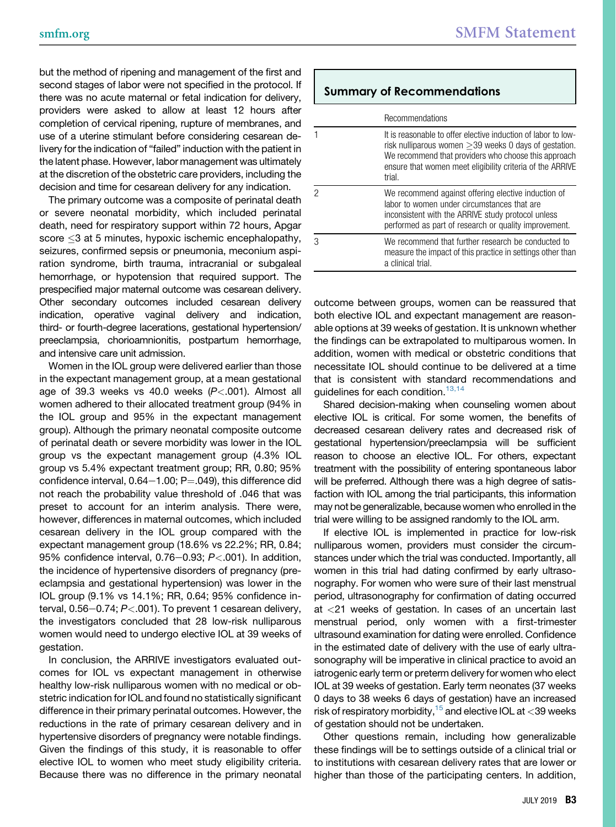but the method of ripening and management of the first and second stages of labor were not specified in the protocol. If there was no acute maternal or fetal indication for delivery, providers were asked to allow at least 12 hours after completion of cervical ripening, rupture of membranes, and use of a uterine stimulant before considering cesarean delivery for the indication of "failed" induction with the patient in the latent phase. However, labor management was ultimately at the discretion of the obstetric care providers, including the decision and time for cesarean delivery for any indication.

The primary outcome was a composite of perinatal death or severe neonatal morbidity, which included perinatal death, need for respiratory support within 72 hours, Apgar  $\mathsf{score} \leq 3$  at 5 minutes, hypoxic ischemic encephalopathy, seizures, confirmed sepsis or pneumonia, meconium aspiration syndrome, birth trauma, intracranial or subgaleal hemorrhage, or hypotension that required support. The prespecified major maternal outcome was cesarean delivery. Other secondary outcomes included cesarean delivery indication, operative vaginal delivery and indication, third- or fourth-degree lacerations, gestational hypertension/ preeclampsia, chorioamnionitis, postpartum hemorrhage, and intensive care unit admission.

Women in the IOL group were delivered earlier than those in the expectant management group, at a mean gestational age of 39.3 weeks vs 40.0 weeks  $(P<.001)$ . Almost all women adhered to their allocated treatment group (94% in the IOL group and 95% in the expectant management group). Although the primary neonatal composite outcome of perinatal death or severe morbidity was lower in the IOL group vs the expectant management group (4.3% IOL group vs 5.4% expectant treatment group; RR, 0.80; 95% confidence interval,  $0.64-1.00$ ; P=.049), this difference did not reach the probability value threshold of .046 that was preset to account for an interim analysis. There were, however, differences in maternal outcomes, which included cesarean delivery in the IOL group compared with the expectant management group (18.6% vs 22.2%; RR, 0.84; 95% confidence interval, 0.76-0.93;  $P < .001$ ). In addition, the incidence of hypertensive disorders of pregnancy (preeclampsia and gestational hypertension) was lower in the IOL group (9.1% vs 14.1%; RR, 0.64; 95% confidence interval,  $0.56-0.74$ ;  $P<.001$ ). To prevent 1 cesarean delivery, the investigators concluded that 28 low-risk nulliparous women would need to undergo elective IOL at 39 weeks of gestation.

In conclusion, the ARRIVE investigators evaluated outcomes for IOL vs expectant management in otherwise healthy low-risk nulliparous women with no medical or obstetric indication for IOL and found no statistically significant difference in their primary perinatal outcomes. However, the reductions in the rate of primary cesarean delivery and in hypertensive disorders of pregnancy were notable findings. Given the findings of this study, it is reasonable to offer elective IOL to women who meet study eligibility criteria. Because there was no difference in the primary neonatal

## Summary of Recommendations

| Recommendations                                                                                                                                                                                                                                             |
|-------------------------------------------------------------------------------------------------------------------------------------------------------------------------------------------------------------------------------------------------------------|
| It is reasonable to offer elective induction of labor to low-<br>risk nulliparous women $\geq$ 39 weeks 0 days of gestation.<br>We recommend that providers who choose this approach<br>ensure that women meet eligibility criteria of the ARRIVE<br>trial. |
| We recommend against offering elective induction of<br>labor to women under circumstances that are<br>inconsistent with the ARRIVE study protocol unless<br>performed as part of research or quality improvement.                                           |
| We recommend that further research be conducted to<br>measure the impact of this practice in settings other than<br>a clinical trial.                                                                                                                       |

outcome between groups, women can be reassured that both elective IOL and expectant management are reasonable options at 39 weeks of gestation. It is unknown whether the findings can be extrapolated to multiparous women. In addition, women with medical or obstetric conditions that necessitate IOL should continue to be delivered at a time that is consistent with standard recommendations and guidelines for each condition.<sup>[13,14](#page-2-0)</sup>

Shared decision-making when counseling women about elective IOL is critical. For some women, the benefits of decreased cesarean delivery rates and decreased risk of gestational hypertension/preeclampsia will be sufficient reason to choose an elective IOL. For others, expectant treatment with the possibility of entering spontaneous labor will be preferred. Although there was a high degree of satisfaction with IOL among the trial participants, this information may not be generalizable, because women who enrolled in the trial were willing to be assigned randomly to the IOL arm.

If elective IOL is implemented in practice for low-risk nulliparous women, providers must consider the circumstances under which the trial was conducted. Importantly, all women in this trial had dating confirmed by early ultrasonography. For women who were sure of their last menstrual period, ultrasonography for confirmation of dating occurred at <21 weeks of gestation. In cases of an uncertain last menstrual period, only women with a first-trimester ultrasound examination for dating were enrolled. Confidence in the estimated date of delivery with the use of early ultrasonography will be imperative in clinical practice to avoid an iatrogenic early term or preterm delivery for women who elect IOL at 39 weeks of gestation. Early term neonates (37 weeks 0 days to 38 weeks 6 days of gestation) have an increased risk of respiratory morbidity,  $15$  and elective IOL at  $<$  39 weeks of gestation should not be undertaken.

Other questions remain, including how generalizable these findings will be to settings outside of a clinical trial or to institutions with cesarean delivery rates that are lower or higher than those of the participating centers. In addition,